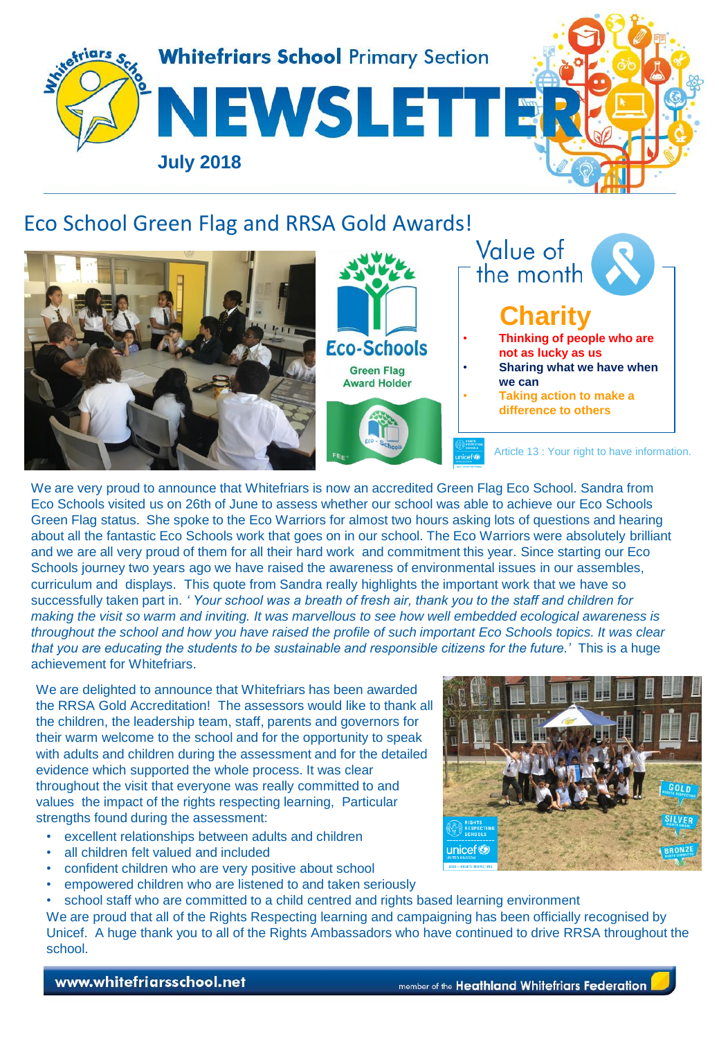

#### Eco School Green Flag and RRSA Gold Awards!



We are very proud to announce that Whitefriars is now an accredited Green Flag Eco School. Sandra from Eco Schools visited us on 26th of June to assess whether our school was able to achieve our Eco Schools Green Flag status. She spoke to the Eco Warriors for almost two hours asking lots of questions and hearing about all the fantastic Eco Schools work that goes on in our school. The Eco Warriors were absolutely brilliant and we are all very proud of them for all their hard work and commitment this year. Since starting our Eco Schools journey two years ago we have raised the awareness of environmental issues in our assembles, curriculum and displays. This quote from Sandra really highlights the important work that we have so successfully taken part in. *' Your school was a breath of fresh air, thank you to the staff and children for making the visit so warm and inviting. It was marvellous to see how well embedded ecological awareness is throughout the school and how you have raised the profile of such important Eco Schools topics. It was clear that you are educating the students to be sustainable and responsible citizens for the future.'* This is a huge achievement for Whitefriars.

We are delighted to announce that Whitefriars has been awarded the RRSA Gold Accreditation! The assessors would like to thank all the children, the leadership team, staff, parents and governors for their warm welcome to the school and for the opportunity to speak with adults and children during the assessment and for the detailed evidence which supported the whole process. It was clear throughout the visit that everyone was really committed to and values the impact of the rights respecting learning, Particular strengths found during the assessment:

- excellent relationships between adults and children
- all children felt valued and included
- confident children who are very positive about school
- empowered children who are listened to and taken seriously

school staff who are committed to a child centred and rights based learning environment We are proud that all of the Rights Respecting learning and campaigning has been officially recognised by Unicef. A huge thank you to all of the Rights Ambassadors who have continued to drive RRSA throughout the school.



#### www.whitefriarsschool.net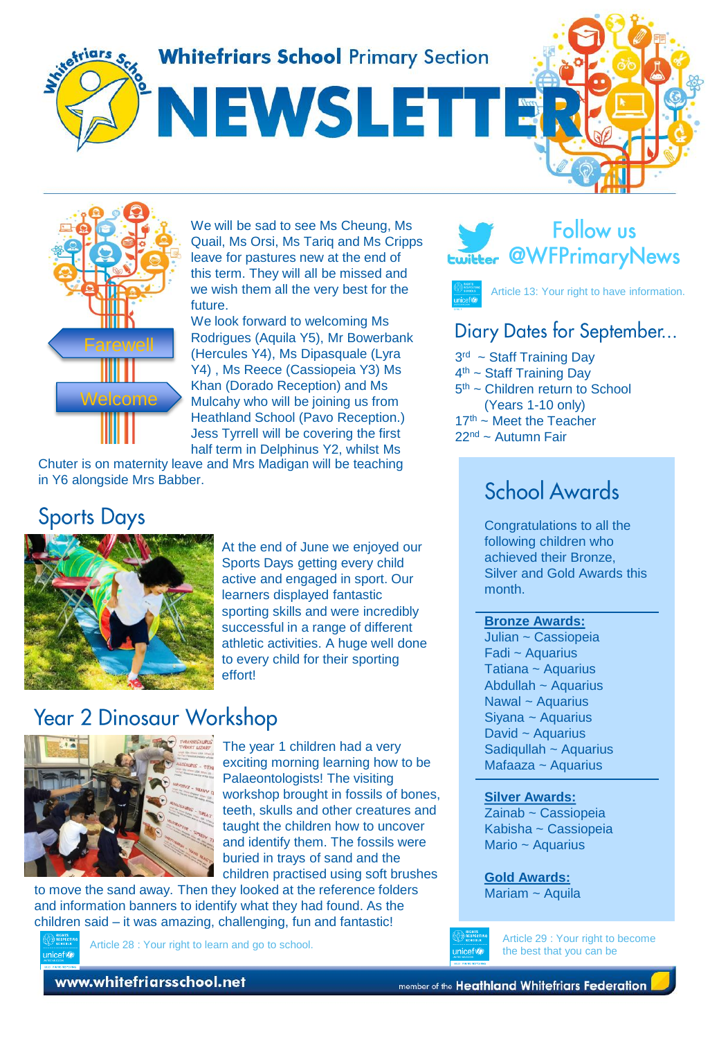**Whitefriars School Primary Section** 

NEWSLETTE





We will be sad to see Ms Cheung, Ms Quail, Ms Orsi, Ms Tariq and Ms Cripps leave for pastures new at the end of this term. They will all be missed and we wish them all the very best for the future.

We look forward to welcoming Ms Rodrigues (Aquila Y5), Mr Bowerbank (Hercules Y4), Ms Dipasquale (Lyra Y4) , Ms Reece (Cassiopeia Y3) Ms Khan (Dorado Reception) and Ms Mulcahy who will be joining us from Heathland School (Pavo Reception.) Jess Tyrrell will be covering the first half term in Delphinus Y2, whilst Ms

Chuter is on maternity leave and Mrs Madigan will be teaching in Y6 alongside Mrs Babber.

## **Sports Days**



At the end of June we enjoyed our Sports Days getting every child active and engaged in sport. Our learners displayed fantastic sporting skills and were incredibly successful in a range of different athletic activities. A huge well done to every child for their sporting effort!

# **Year 2 Dinosaur Workshop**



The year 1 children had a very exciting morning learning how to be Palaeontologists! The visiting workshop brought in fossils of bones, teeth, skulls and other creatures and taught the children how to uncover and identify them. The fossils were buried in trays of sand and the children practised using soft brushes

to move the sand away. Then they looked at the reference folders and information banners to identify what they had found. As the children said – it was amazing, challenging, fun and fantastic!



Article 28 : Your right to learn and go to school.





Article 13: Your right to have information.

#### Diary Dates for September...

3<sup>rd</sup> ~ Staff Training Day 4<sup>th</sup> ~ Staff Training Day 5<sup>th</sup> ~ Children return to School (Years 1-10 only)  $17<sup>th</sup>$  ~ Meet the Teacher 22nd ~ Autumn Fair

## School Awards

Congratulations to all the following children who achieved their Bronze, Silver and Gold Awards this month.

#### **Bronze Awards:**

Julian ~ Cassiopeia Fadi ~ Aquarius Tatiana ~ Aquarius Abdullah ~ Aquarius Nawal ~ Aquarius Siyana ~ Aquarius David ~ Aquarius Sadiqullah ~ Aquarius Mafaaza ~ Aquarius

#### **Silver Awards:**

Zainab ~ Cassiopeia Kabisha ~ Cassiopeia Mario ~ Aquarius

**Gold Awards:** Mariam ~ Aquila

minofice

Article 29 : Your right to become the best that you can be

www.whitefriarsschool.net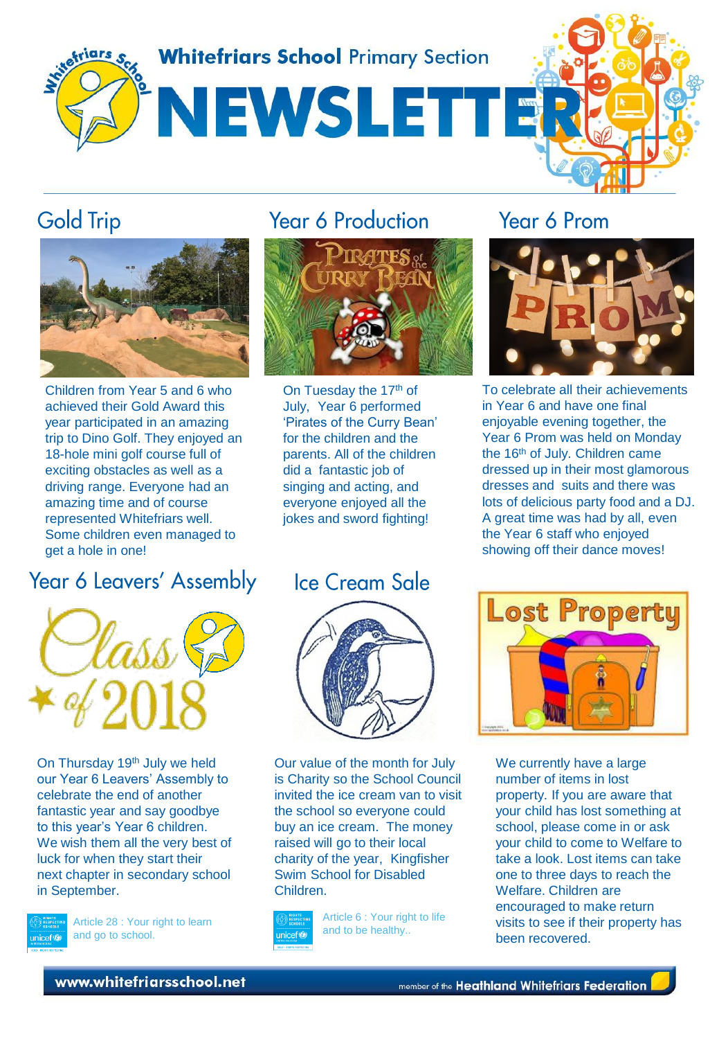

### **Gold Trip**



Children from Year 5 and 6 who achieved their Gold Award this year participated in an amazing trip to Dino Golf. They enjoyed an 18-hole mini golf course full of exciting obstacles as well as a driving range. Everyone had an amazing time and of course represented Whitefriars well. Some children even managed to get a hole in one!

# Year 6 Leavers' Assembly



On Thursday 19<sup>th</sup> July we held our Year 6 Leavers' Assembly to celebrate the end of another fantastic year and say goodbye to this year's Year 6 children. We wish them all the very best of luck for when they start their next chapter in secondary school in September.



Article 28 : Your right to learn and go to school.

# **Year 6 Production**



On Tuesday the 17<sup>th</sup> of July, Year 6 performed 'Pirates of the Curry Bean' for the children and the parents. All of the children did a fantastic job of singing and acting, and everyone enjoyed all the jokes and sword fighting!

## **Ice Cream Sale**



Our value of the month for July is Charity so the School Council invited the ice cream van to visit the school so everyone could buy an ice cream. The money raised will go to their local charity of the year, Kingfisher Swim School for Disabled Children.



Article 6 : Your right to life and to be healthy..

#### Year 6 Prom



To celebrate all their achievements in Year 6 and have one final enjoyable evening together, the Year 6 Prom was held on Monday the 16<sup>th</sup> of July. Children came dressed up in their most glamorous dresses and suits and there was lots of delicious party food and a DJ. A great time was had by all, even the Year 6 staff who enjoyed showing off their dance moves!



We currently have a large number of items in lost property. If you are aware that your child has lost something at school, please come in or ask your child to come to Welfare to take a look. Lost items can take one to three days to reach the Welfare. Children are encouraged to make return visits to see if their property has been recovered.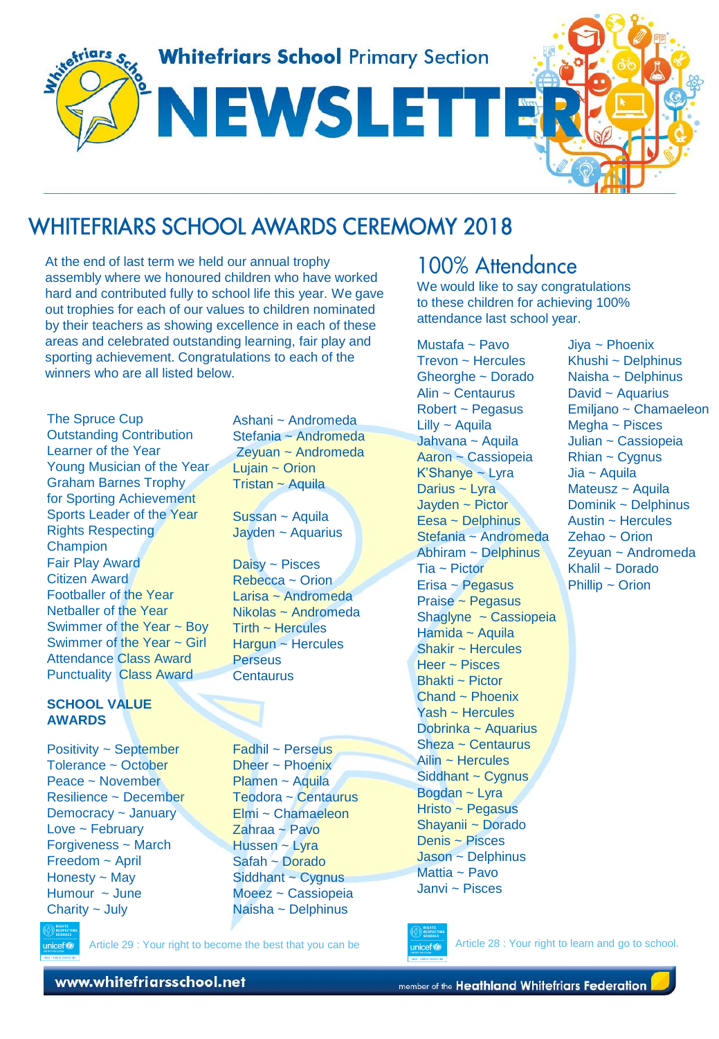

## **WHITEFRIARS SCHOOL AWARDS CEREMOMY 2018**

At the end of last term we held our annual trophy assembly where we honoured children who have worked hard and contributed fully to school life this year. We gave out trophies for each of our values to children nominated by their teachers as showing excellence in each of these areas and celebrated outstanding learning, fair play and sporting achievement. Congratulations to each of the winners who are all listed below.

The Spruce Cup Outstanding Contribution Learner of the Year Young Musician of the Year Graham Barnes Trophy for Sporting Achievement Sports Leader of the Year Rights Respecting **Champion** Fair Play Award Citizen Award Footballer of the Year Netballer of the Year Swimmer of the Year ~ Boy Swimmer of the Year ~ Girl Attendance Class Award Punctuality Class Award

#### **SCHOOL VALUE AWARDS**

Positivity ~ September Tolerance ~ October Peace ~ November Resilience ~ December Democracy ~ January Love  $\sim$  February Forgiveness ~ March Freedom ~ April Honesty ~ May Humour ~ June Charity ~ July

unicef®

Ashani ~ Andromeda Stefania ~ Andromeda Zeyuan ~ Andromeda Lujain  $\sim$  Orion Tristan ~ Aquila

Sussan ~ Aquila Jayden ~ Aquarius

Daisy ~ Pisces Rebecca ~ Orion Larisa ~ Andromeda Nikolas ~ Andromeda  $Tirth \sim$  Hercules Hargun ~ Hercules **Perseus Centaurus** 

Fadhil ~ Perseus Dheer ~ Phoenix Plamen ~ Aquila Teodora ~ Centaurus Elmi ~ Chamaeleon Zahraa ~ Pavo Hussen ~ Lyra Safah ~ Dorado Siddhant ~ Cygnus Moeez ~ Cassiopeia Naisha ~ Delphinus

Article 29 : Your right to become the best that you can be

#### 100% Attendance

We would like to say congratulations to these children for achieving 100% attendance last school year.

Mustafa ~ Pavo Trevon ~ Hercules Gheorghe ~ Dorado Alin ~ Centaurus Robert ~ Pegasus Lilly ~ Aquila Jahvana ~ Aquila Aaron ~ Cassiopeia K'Shanye ~ Lyra Darius ~ Lyra Jayden ~ Pictor Eesa ~ Delphinus Stefania ~ Andromeda Abhiram ~ Delphinus Tia ~ Pictor Erisa ~ Pegasus Praise ~ Pegasus Shaglyne ~ Cassiopeia Hamida ~ Aquila Shakir ~ Hercules Heer ~ Pisces Bhakti ~ Pictor Chand ~ Phoenix Yash ~ Hercules Dobrinka ~ Aquarius Sheza ~ Centaurus Ailin ~ Hercules Siddhant ~ Cygnus Bogdan ~ Lyra Hristo ~ Pegasus Shayanii ~ Dorado Denis ~ Pisces Jason ~ Delphinus Mattia ~ Pavo Janvi ~ Pisces

Khushi ~ Delphinus Naisha ~ Delphinus David ~ Aquarius Emiljano ~ Chamaeleon Megha ~ Pisces Julian ~ Cassiopeia  $Rhian \sim Cygnus$ Jia ~ Aquila Mateusz ~ Aquila Dominik ~ Delphinus Austin ~ Hercules Zehao ~ Orion Zeyuan ~ Andromeda Khalil ~ Dorado Phillip ~ Orion

Jiya ~ Phoenix



Article 28 : Your right to learn and go to school.

www.whitefriarsschool.net

member of the Heathland Whitefriars Federation